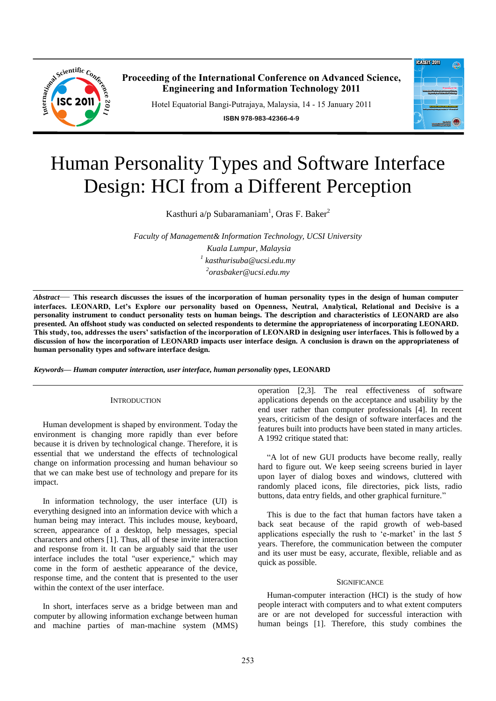

**Proceeding of the International Conference on Advanced Science, Engineering and Information Technology 2011**

Hotel Equatorial Bangi-Putrajaya, Malaysia, 14 - 15 January 2011

**ISBN 978-983-42366-4-9**



# Human Personality Types and Software Interface Design: HCI from a Different Perception

Kasthuri a/p Subaramaniam<sup>1</sup>, Oras F. Baker<sup>2</sup>

*Faculty of Management& Information Technology, UCSI University Kuala Lumpur, Malaysia 1 kasthurisuba@ucsi.edu.my 2 orasbaker@ucsi.edu.my* 

*Abstract*— **This research discusses the issues of the incorporation of human personality types in the design of human computer interfaces. LEONARD, Let's Explore our personality based on Openness, Neutral, Analytical, Relational and Decisive is a personality instrument to conduct personality tests on human beings. The description and characteristics of LEONARD are also presented. An offshoot study was conducted on selected respondents to determine the appropriateness of incorporating LEONARD. This study, too, addresses the users' satisfaction of the incorporation of LEONARD in designing user interfaces. This is followed by a discussion of how the incorporation of LEONARD impacts user interface design. A conclusion is drawn on the appropriateness of human personality types and software interface design.**

*Keywords***—** *Human computer interaction, user interface, human personality types,* **LEONARD**

## **INTRODUCTION**

Human development is shaped by environment. Today the environment is changing more rapidly than ever before because it is driven by technological change. Therefore, it is essential that we understand the effects of technological change on information processing and human behaviour so that we can make best use of technology and prepare for its impact.

In information technology, the user interface (UI) is everything designed into an information device with which a human being may interact. This includes mouse, keyboard, screen, appearance of a desktop, help messages, special characters and others [1]. Thus, all of these invite interaction and response from it. It can be arguably said that the user interface includes the total "user experience," which may come in the form of aesthetic appearance of the device, response time, and the content that is presented to the user within the context of the user interface.

In short, interfaces serve as a bridge between man and computer by allowing information exchange between human and machine parties of man-machine system (MMS) operation [2,3]. The real effectiveness of software applications depends on the acceptance and usability by the end user rather than computer professionals [4]. In recent years, criticism of the design of software interfaces and the features built into products have been stated in many articles. A 1992 critique stated that:

―A lot of new GUI products have become really, really hard to figure out. We keep seeing screens buried in layer upon layer of dialog boxes and windows, cluttered with randomly placed icons, file directories, pick lists, radio buttons, data entry fields, and other graphical furniture."

This is due to the fact that human factors have taken a back seat because of the rapid growth of web-based applications especially the rush to 'e-market' in the last 5 years. Therefore, the communication between the computer and its user must be easy, accurate, flexible, reliable and as quick as possible.

#### **SIGNIFICANCE**

Human-computer interaction (HCI) is the study of how people interact with computers and to what extent computers are or are not developed for successful interaction with human beings [1]. Therefore, this study combines the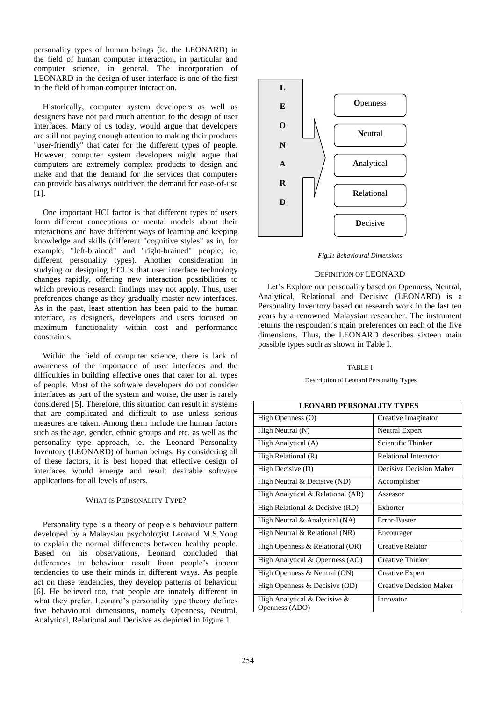personality types of human beings (ie. the LEONARD) in the field of human computer interaction, in particular and computer science, in general. The incorporation of LEONARD in the design of user interface is one of the first in the field of human computer interaction.

Historically, computer system developers as well as designers have not paid much attention to the design of user interfaces. Many of us today, would argue that developers are still not paying enough attention to making their products "user-friendly" that cater for the different types of people. However, computer system developers might argue that computers are extremely complex products to design and make and that the demand for the services that computers can provide has always outdriven the demand for ease-of-use [1].

One important HCI factor is that different types of users form different conceptions or mental models about their interactions and have different ways of learning and keeping knowledge and skills (different "cognitive styles" as in, for example, "left-brained" and "right-brained" people; ie, different personality types). Another consideration in studying or designing HCI is that user interface technology changes rapidly, offering new interaction possibilities to which previous research findings may not apply. Thus, user preferences change as they gradually master new interfaces. As in the past, least attention has been paid to the human interface, as designers, developers and users focused on maximum functionality within cost and performance constraints.

Within the field of computer science, there is lack of awareness of the importance of user interfaces and the difficulties in building effective ones that cater for all types of people. Most of the software developers do not consider interfaces as part of the system and worse, the user is rarely considered [5]. Therefore, this situation can result in systems that are complicated and difficult to use unless serious measures are taken. Among them include the human factors such as the age, gender, ethnic groups and etc. as well as the personality type approach, ie. the Leonard Personality Inventory (LEONARD) of human beings. By considering all of these factors, it is best hoped that effective design of interfaces would emerge and result desirable software applications for all levels of users.

## WHAT IS PERSONALITY TYPE?

Personality type is a theory of people's behaviour pattern developed by a Malaysian psychologist Leonard M.S.Yong to explain the normal differences between healthy people. Based on his observations, Leonard concluded that differences in behaviour result from people's inborn tendencies to use their minds in different ways. As people act on these tendencies, they develop patterns of behaviour [6]. He believed too, that people are innately different in what they prefer. Leonard's personality type theory defines five behavioural dimensions, namely Openness, Neutral, Analytical, Relational and Decisive as depicted in Figure 1.



*Fig.1: Behavioural Dimensions* 

## DEFINITION OF LEONARD

Let's Explore our personality based on Openness, Neutral, Analytical, Relational and Decisive (LEONARD) is a Personality Inventory based on research work in the last ten years by a renowned Malaysian researcher. The instrument returns the respondent's main preferences on each of the five dimensions. Thus, the LEONARD describes sixteen main possible types such as shown in Table I.

## TABLE I

Description of Leonard Personality Types

| <b>LEONARD PERSONALITY TYPES</b>               |                                |  |
|------------------------------------------------|--------------------------------|--|
| High Openness (O)                              | Creative Imaginator            |  |
| High Neutral (N)                               | Neutral Expert                 |  |
| High Analytical (A)                            | Scientific Thinker             |  |
| High Relational (R)                            | <b>Relational Interactor</b>   |  |
| High Decisive (D)                              | Decisive Decision Maker        |  |
| High Neutral & Decisive (ND)                   | Accomplisher                   |  |
| High Analytical & Relational (AR)              | Assessor                       |  |
| High Relational & Decisive (RD)                | Exhorter                       |  |
| High Neutral & Analytical (NA)                 | Error-Buster                   |  |
| High Neutral & Relational (NR)                 | Encourager                     |  |
| High Openness & Relational (OR)                | Creative Relator               |  |
| High Analytical & Openness (AO)                | Creative Thinker               |  |
| High Openness & Neutral (ON)                   | <b>Creative Expert</b>         |  |
| High Openness & Decisive (OD)                  | <b>Creative Decision Maker</b> |  |
| High Analytical & Decisive &<br>Openness (ADO) | Innovator                      |  |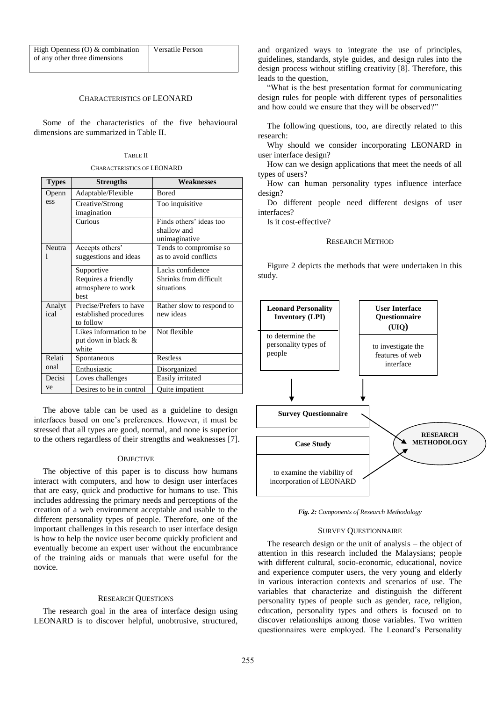| High Openness $(O)$ & combination | Versatile Person |
|-----------------------------------|------------------|
| of any other three dimensions     |                  |

# CHARACTERISTICS OF LEONARD

Some of the characteristics of the five behavioural dimensions are summarized in Table II.

#### TABLE II

CHARACTERISTICS OF LEONARD

| <b>Types</b>       | <b>Strengths</b>                                               | <b>Weaknesses</b>                                       |
|--------------------|----------------------------------------------------------------|---------------------------------------------------------|
| Openn              | Adaptable/Flexible                                             | <b>Bored</b>                                            |
| ess                | Creative/Strong<br>imagination                                 | Too inquisitive                                         |
|                    | Curious                                                        | Finds others' ideas too<br>shallow and<br>unimaginative |
| <b>Neutra</b><br>I | Accepts others'<br>suggestions and ideas                       | Tends to compromise so<br>as to avoid conflicts         |
|                    | Supportive                                                     | Lacks confidence                                        |
|                    | Requires a friendly<br>atmosphere to work<br>hest              | Shrinks from difficult<br>situations                    |
| Analyt<br>ical     | Precise/Prefers to have<br>established procedures<br>to follow | Rather slow to respond to<br>new ideas                  |
|                    | Likes information to be<br>put down in black &<br>white        | Not flexible                                            |
| Relati             | Spontaneous                                                    | <b>Restless</b>                                         |
| onal               | Enthusiastic                                                   | Disorganized                                            |
| Decisi             | Loves challenges                                               | Easily irritated                                        |
| ve                 | Desires to be in control                                       | Quite impatient                                         |

The above table can be used as a guideline to design interfaces based on one's preferences. However, it must be stressed that all types are good, normal, and none is superior to the others regardless of their strengths and weaknesses [7].

#### **OBJECTIVE**

The objective of this paper is to discuss how humans interact with computers, and how to design user interfaces that are easy, quick and productive for humans to use. This includes addressing the primary needs and perceptions of the creation of a web environment acceptable and usable to the different personality types of people. Therefore, one of the important challenges in this research to user interface design is how to help the novice user become quickly proficient and eventually become an expert user without the encumbrance of the training aids or manuals that were useful for the novice.

# RESEARCH QUESTIONS

The research goal in the area of interface design using LEONARD is to discover helpful, unobtrusive, structured,

and organized ways to integrate the use of principles, guidelines, standards, style guides, and design rules into the design process without stifling creativity [8]. Therefore, this leads to the question,

―What is the best presentation format for communicating design rules for people with different types of personalities and how could we ensure that they will be observed?"

The following questions, too, are directly related to this research:

Why should we consider incorporating LEONARD in user interface design?

How can we design applications that meet the needs of all types of users?

How can human personality types influence interface design?

Do different people need different designs of user interfaces?

Is it cost-effective?

# RESEARCH METHOD

Figure 2 depicts the methods that were undertaken in this study.



*Fig. 2: Components of Research Methodology* 

#### SURVEY QUESTIONNAIRE

The research design or the unit of analysis – the object of attention in this research included the Malaysians; people with different cultural, socio-economic, educational, novice and experience computer users, the very young and elderly in various interaction contexts and scenarios of use. The variables that characterize and distinguish the different personality types of people such as gender, race, religion, education, personality types and others is focused on to discover relationships among those variables. Two written questionnaires were employed. The Leonard's Personality